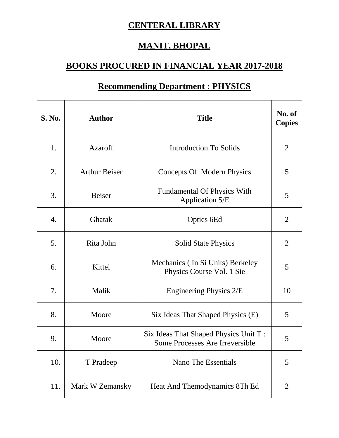## **CENTERAL LIBRARY**

## **MANIT, BHOPAL**

## **BOOKS PROCURED IN FINANCIAL YEAR 2017-2018**

| S. No. | <b>Author</b>        | <b>Title</b>                                                             | No. of<br><b>Copies</b> |
|--------|----------------------|--------------------------------------------------------------------------|-------------------------|
| 1.     | Azaroff              | <b>Introduction To Solids</b>                                            | $\overline{2}$          |
| 2.     | <b>Arthur Beiser</b> | Concepts Of Modern Physics                                               | 5                       |
| 3.     | <b>Beiser</b>        | <b>Fundamental Of Physics With</b><br>Application 5/E                    | 5                       |
| 4.     | Ghatak               | Optics 6Ed                                                               | $\overline{2}$          |
| 5.     | Rita John            | <b>Solid State Physics</b>                                               | $\overline{2}$          |
| 6.     | Kittel               | Mechanics (In Si Units) Berkeley<br>Physics Course Vol. 1 Sie            | 5                       |
| 7.     | Malik                | Engineering Physics 2/E                                                  | 10                      |
| 8.     | Moore                | Six Ideas That Shaped Physics (E)                                        | 5                       |
| 9.     | Moore                | Six Ideas That Shaped Physics Unit T:<br>Some Processes Are Irreversible | 5                       |
| 10.    | T Pradeep            | Nano The Essentials                                                      | 5                       |
| 11.    | Mark W Zemansky      | Heat And Themodynamics 8Th Ed                                            | $\overline{2}$          |

## **Recommending Department : PHYSICS**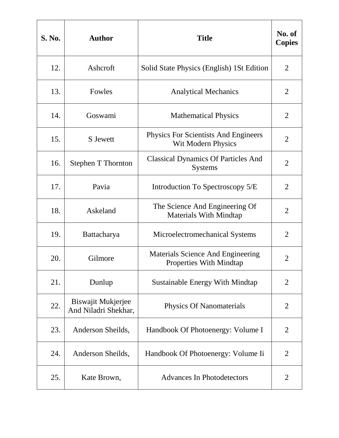| <b>S. No.</b> | <b>Author</b>                                     | <b>Title</b>                                                             | No. of<br><b>Copies</b> |
|---------------|---------------------------------------------------|--------------------------------------------------------------------------|-------------------------|
| 12.           | Ashcroft                                          | Solid State Physics (English) 1St Edition                                | 2                       |
| 13.           | Fowles                                            | <b>Analytical Mechanics</b>                                              | 2                       |
| 14.           | Goswami                                           | <b>Mathematical Physics</b>                                              | $\overline{2}$          |
| 15.           | S Jewett                                          | <b>Physics For Scientists And Engineers</b><br><b>Wit Modern Physics</b> | $\overline{2}$          |
| 16.           | <b>Stephen T Thornton</b>                         | <b>Classical Dynamics Of Particles And</b><br><b>Systems</b>             | $\overline{2}$          |
| 17.           | Pavia                                             | Introduction To Spectroscopy 5/E                                         | $\overline{2}$          |
| 18.           | Askeland                                          | The Science And Engineering Of<br><b>Materials With Mindtap</b>          | $\overline{2}$          |
| 19.           | Battacharya                                       | Microelectromechanical Systems                                           | $\overline{2}$          |
| 20.           | Gilmore                                           | Materials Science And Engineering<br><b>Properties With Mindtap</b>      | $\overline{2}$          |
| 21.           | Dunlup                                            | <b>Sustainable Energy With Mindtap</b>                                   | $\overline{2}$          |
| 22.           | <b>Biswajit Mukjerjee</b><br>And Niladri Shekhar, | <b>Physics Of Nanomaterials</b>                                          | $\overline{2}$          |
| 23.           | Anderson Sheilds,                                 | Handbook Of Photoenergy: Volume I                                        | $\overline{2}$          |
| 24.           | Anderson Sheilds,                                 | Handbook Of Photoenergy: Volume Ii                                       | $\overline{2}$          |
| 25.           | Kate Brown,                                       | <b>Advances In Photodetectors</b>                                        | 2                       |